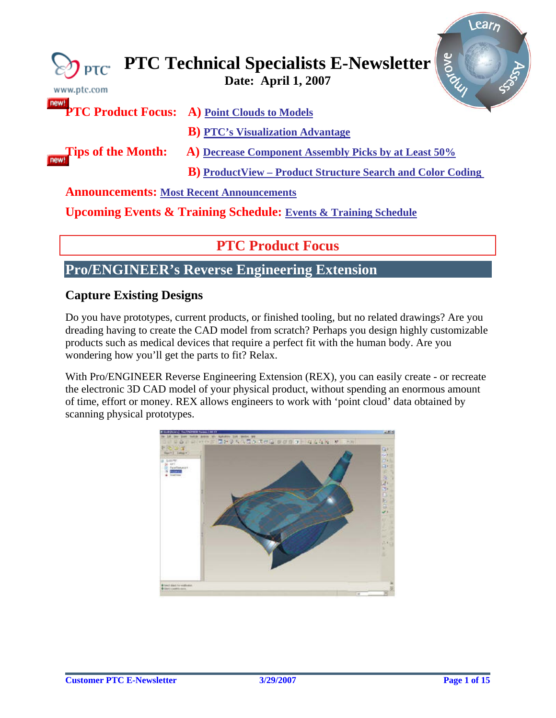<span id="page-0-0"></span>

| $\gtrsim$ PTC<br>www.ptc.com                    | <b>Arove</b><br><b>PTC Technical Specialists E-Newsletter</b>                  |
|-------------------------------------------------|--------------------------------------------------------------------------------|
| new!                                            | <b>PTC Product Focus:</b> A) Point Clouds to Models                            |
| <b>Tips of the Month:</b><br>new!               | <b>B</b> ) PTC's Visualization Advantage                                       |
|                                                 | A) Decrease Component Assembly Picks by at Least 50%                           |
|                                                 | <b>B</b> ) ProductView – Product Structure Search and Color Coding             |
| <b>Announcements: Most Recent Announcements</b> |                                                                                |
|                                                 | <b>Upcoming Events &amp; Training Schedule: Events &amp; Training Schedule</b> |

# **PTC Product Focus**

## **Pro/ENGINEER's Reverse Engineering Extension**

## **Capture Existing Designs**

Do you have prototypes, current products, or finished tooling, but no related drawings? Are you dreading having to create the CAD model from scratch? Perhaps you design highly customizable products such as medical devices that require a perfect fit with the human body. Are you wondering how you'll get the parts to fit? Relax.

With Pro/ENGINEER Reverse Engineering Extension (REX), you can easily create - or recreate the electronic 3D CAD model of your physical product, without spending an enormous amount of time, effort or money. REX allows engineers to work with 'point cloud' data obtained by scanning physical prototypes.



**Searn**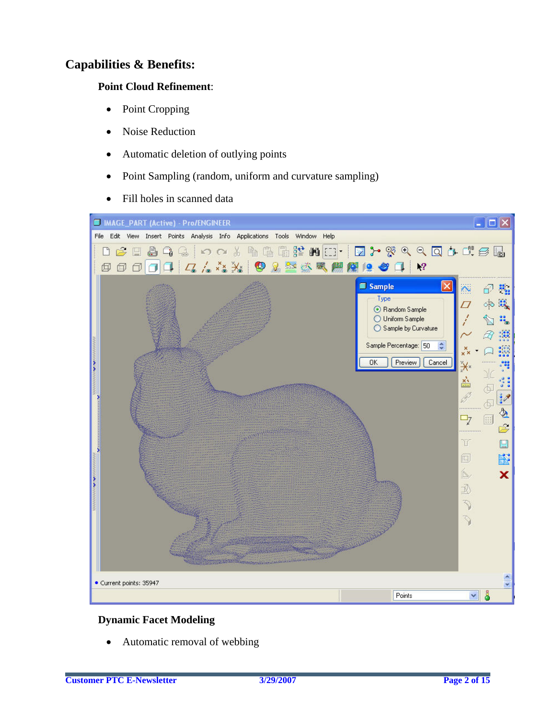## **Capabilities & Benefits:**

## **Point Cloud Refinement**:

- Point Cropping
- Noise Reduction
- Automatic deletion of outlying points
- Point Sampling (random, uniform and curvature sampling)
- Fill holes in scanned data



## **Dynamic Facet Modeling**

Automatic removal of webbing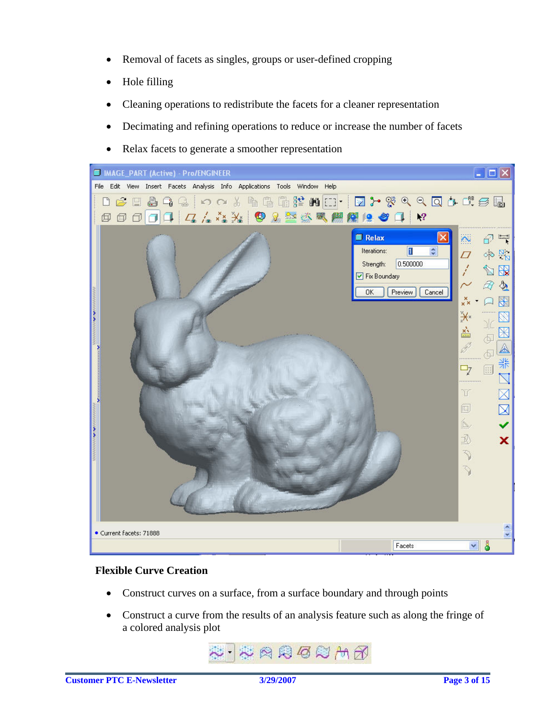- Removal of facets as singles, groups or user-defined cropping
- Hole filling
- Cleaning operations to redistribute the facets for a cleaner representation
- Decimating and refining operations to reduce or increase the number of facets
- Relax facets to generate a smoother representation



## **Flexible Curve Creation**

- Construct curves on a surface, from a surface boundary and through points
- Construct a curve from the results of an analysis feature such as along the fringe of a colored analysis plot

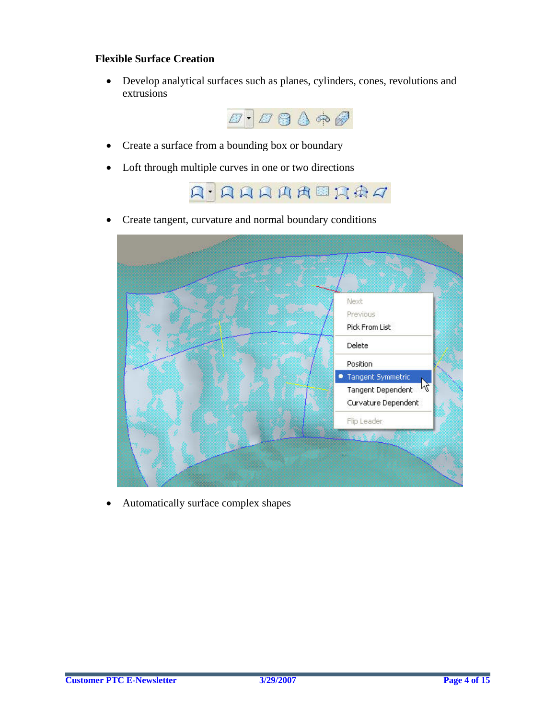## **Flexible Surface Creation**

• Develop analytical surfaces such as planes, cylinders, cones, revolutions and extrusions



- Create a surface from a bounding box or boundary
- Loft through multiple curves in one or two directions



• Create tangent, curvature and normal boundary conditions



• Automatically surface complex shapes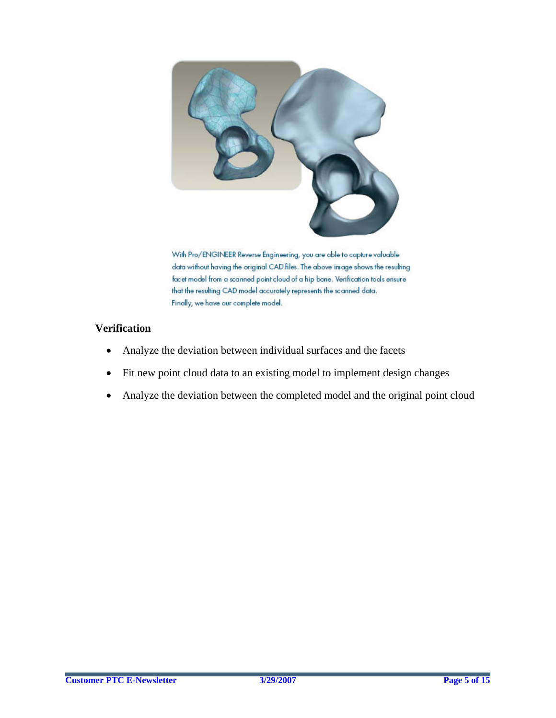

With Pro/ENGINEER Reverse Engineering, you are able to capture valuable data without having the original CAD files. The above image shows the resulting facet model from a scanned point cloud of a hip bone. Verification tools ensure that the resulting CAD model accurately represents the scanned data. Finally, we have our complete model.

## **Verification**

- Analyze the deviation between individual surfaces and the facets
- Fit new point cloud data to an existing model to implement design changes
- Analyze the deviation between the completed model and the original point cloud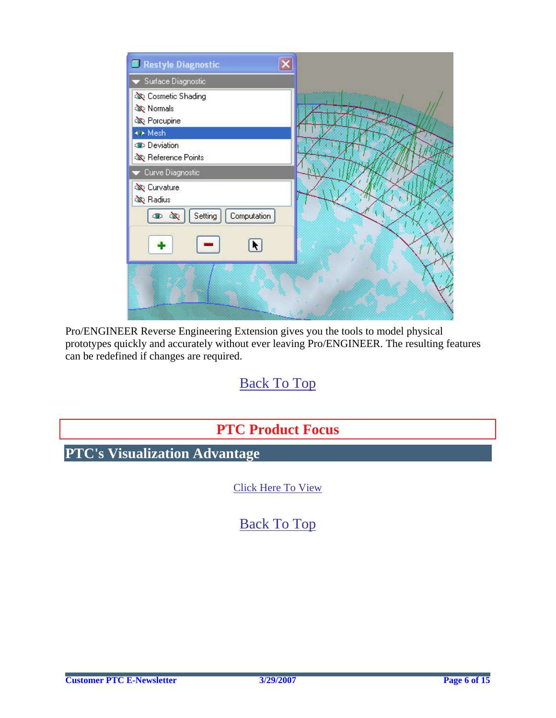<span id="page-5-0"></span>

Pro/ENGINEER Reverse Engineering Extension gives you the tools to model physical prototypes quickly and accurately without ever leaving Pro/ENGINEER. The resulting features can be redefined if changes are required.

# [Back To Top](#page-0-0)

# **PTC Product Focus**

**PTC's Visualization Advantage** 

[Click Here To View](http://members.shaw.ca/jpeng/newsletter/PTC_Technical_Specialists_E-Newsletter_04-01-2007_enterprise.pdf)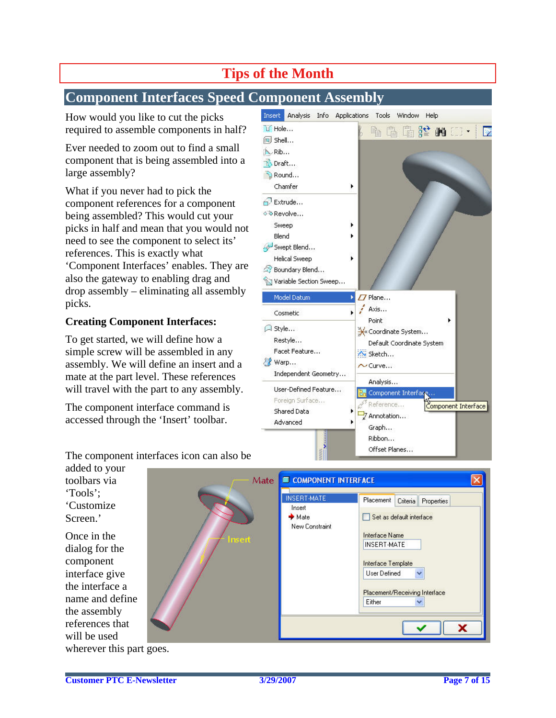# **Tips of the Month**

## <span id="page-6-0"></span>**Component Interfaces Speed Component Assembly**

How would you like to cut the picks required to assemble components in half?

Ever needed to zoom out to find a small component that is being assembled into a large assembly?

What if you never had to pick the component references for a component being assembled? This would cut your picks in half and mean that you would not need to see the component to select its' references. This is exactly what 'Component Interfaces' enables. They are also the gateway to enabling drag and drop assembly – eliminating all assembly picks.

## **Creating Component Interfaces:**

To get started, we will define how a simple screw will be assembled in any assembly. We will define an insert and a mate at the part level. These references will travel with the part to any assembly.

The component interface command is accessed through the 'Insert' toolbar.

| Analysis<br>Info<br><b>Insert</b>                                                                                          | Applications<br>Window<br>Tools<br>Help                                                                                                                                                                                                                                                                                                                                                                                                                 |
|----------------------------------------------------------------------------------------------------------------------------|---------------------------------------------------------------------------------------------------------------------------------------------------------------------------------------------------------------------------------------------------------------------------------------------------------------------------------------------------------------------------------------------------------------------------------------------------------|
| U Hole<br>间 Shell<br><b>A</b> Rib                                                                                          | $\begin{smallmatrix}\begin{smallmatrix}\mathbb{G} & \mathbb{G} & \mathbb{G} & \mathbb{G} & \mathbb{G} & \mathbb{G} & \mathbb{G} & \mathbb{G} & \mathbb{G} & \mathbb{G} & \mathbb{G} & \mathbb{G} & \mathbb{G} & \mathbb{G} & \mathbb{G} & \mathbb{G} & \mathbb{G} & \mathbb{G} & \mathbb{G} & \mathbb{G} & \mathbb{G} & \mathbb{G} & \mathbb{G} & \mathbb{G} & \mathbb{G} & \mathbb{G} & \mathbb{G} & \mathbb{G} & \mathbb{G} & \mathbb{G} &$<br>酯<br>D |
| No Draft<br>Round<br>Chamfer                                                                                               | ٠                                                                                                                                                                                                                                                                                                                                                                                                                                                       |
| Extrude<br>⊙® Revolve<br>Sweep<br>Blend<br>Swept Blend<br><b>Helical Sweep</b><br>Soundary Blend<br>Variable Section Sweep |                                                                                                                                                                                                                                                                                                                                                                                                                                                         |
| Model Datum                                                                                                                | Plane<br>Þ                                                                                                                                                                                                                                                                                                                                                                                                                                              |
| Cosmetic                                                                                                                   | Axis<br>r<br>Point                                                                                                                                                                                                                                                                                                                                                                                                                                      |
| A Style<br>Restyle<br>Facet Feature<br>Warp<br>Independent Geometry                                                        | Coordinate System<br>Default Coordinate System<br><b>Av Sketch</b><br>$\sim$ Curve                                                                                                                                                                                                                                                                                                                                                                      |
| User-Defined Feature<br>Foreign Surface<br>Shared Data<br>Advanced                                                         | Analysis<br>Component Interface<br>Reference<br>Component Interface<br>Z Annotation<br>Graph<br>Ribbon<br>Offset Planes                                                                                                                                                                                                                                                                                                                                 |

The component interfaces icon can also be

added to your toolbars via 'Tools'; 'Customize Screen.'

Once in the dialog for the component interface give the interface a name and define the assembly references that will be used wherever this part goes.

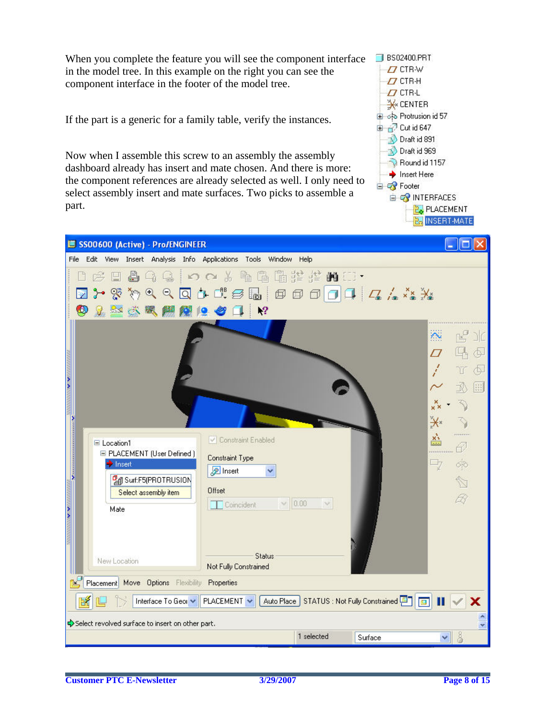When you complete the feature you will see the component interface in the model tree. In this example on the right you can see the component interface in the footer of the model tree.

If the part is a generic for a family table, verify the instances.

Now when I assemble this screw to an assembly the assembly dashboard already has insert and mate chosen. And there is more: the component references are already selected as well. I only need to select assembly insert and mate surfaces. Two picks to assemble a part.



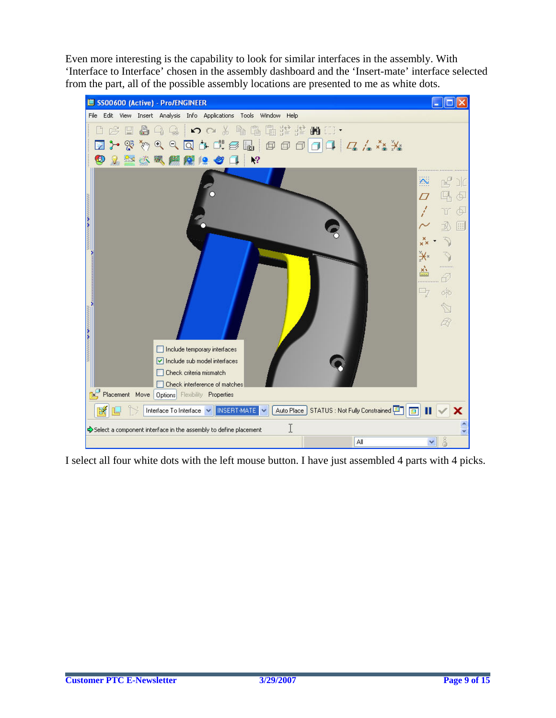Even more interesting is the capability to look for similar interfaces in the assembly. With 'Interface to Interface' chosen in the assembly dashboard and the 'Insert-mate' interface selected from the part, all of the possible assembly locations are presented to me as white dots.



I select all four white dots with the left mouse button. I have just assembled 4 parts with 4 picks.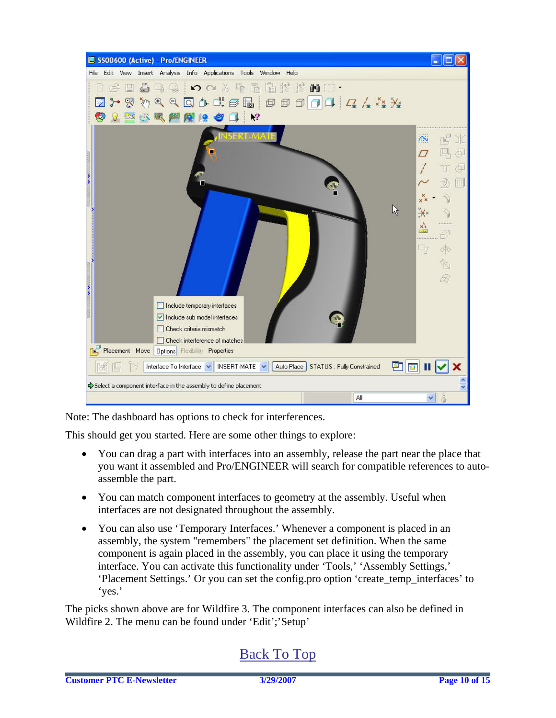

Note: The dashboard has options to check for interferences.

This should get you started. Here are some other things to explore:

- You can drag a part with interfaces into an assembly, release the part near the place that you want it assembled and Pro/ENGINEER will search for compatible references to autoassemble the part.
- You can match component interfaces to geometry at the assembly. Useful when interfaces are not designated throughout the assembly.
- You can also use 'Temporary Interfaces.' Whenever a component is placed in an assembly, the system "remembers" the placement set definition. When the same component is again placed in the assembly, you can place it using the temporary interface. You can activate this functionality under 'Tools,' 'Assembly Settings,' 'Placement Settings.' Or you can set the config.pro option 'create\_temp\_interfaces' to 'yes.'

The picks shown above are for Wildfire 3. The component interfaces can also be defined in Wildfire 2. The menu can be found under 'Edit';'Setup'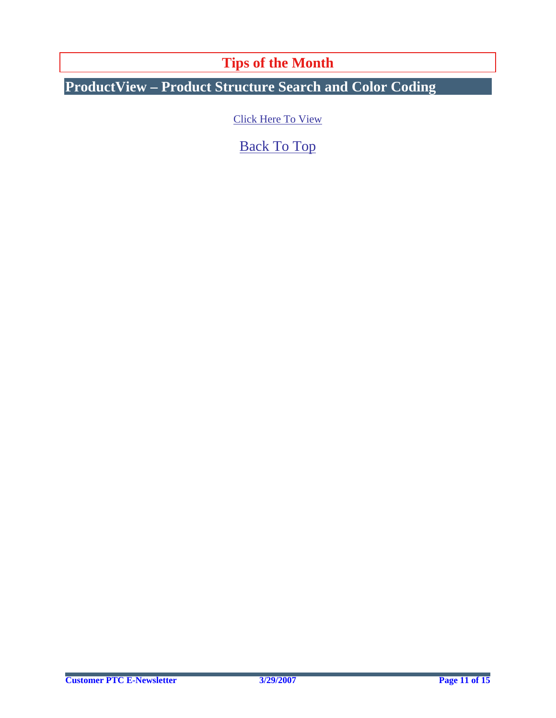**Tips of the Month** 

<span id="page-10-0"></span>**ProductView – Product Structure Search and Color Coding** 

[Click Here To View](http://members.shaw.ca/jpeng/newsletter/PTC_Technical_Specialists_E-Newsletter_04-01-2007_enterprise.pdf)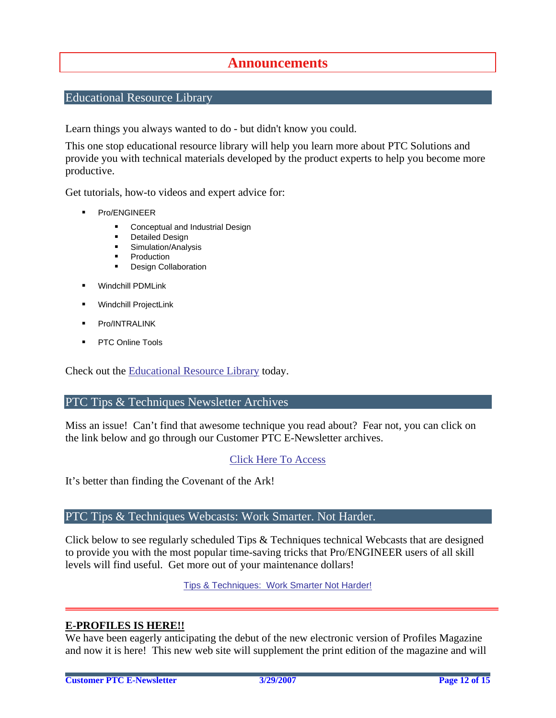## **Announcements**

## <span id="page-11-0"></span>Educational Resource Library

Learn things you always wanted to do - but didn't know you could.

This one stop educational resource library will help you learn more about PTC Solutions and provide you with technical materials developed by the product experts to help you become more productive.

Get tutorials, how-to videos and expert advice for:

- **Pro/ENGINEER** 
	- **EXECONCEPT** Conceptual and Industrial Design
	- **•** Detailed Design
	- **Simulation/Analysis**
	- Production
	- **Design Collaboration**
- Windchill PDMLink
- Windchill ProjectLink
- Pro/INTRALINK
- PTC Online Tools

Check out the [Educational Resource Library](http://www.ptc.com/community/proewf/newtools/tutorials.htm) today.

#### PTC Tips & Techniques Newsletter Archives

Miss an issue! Can't find that awesome technique you read about? Fear not, you can click on the link below and go through our Customer PTC E-Newsletter archives.

### [Click Here To Access](http://www.ptc.com/carezone/archive/index.htm)

It's better than finding the Covenant of the Ark!

### PTC Tips & Techniques Webcasts: Work Smarter. Not Harder.

Click below to see regularly scheduled Tips & Techniques technical Webcasts that are designed to provide you with the most popular time-saving tricks that Pro/ENGINEER users of all skill levels will find useful. Get more out of your maintenance dollars!

Tips & Techniques: Work Smarter Not Harder!

### **E-PROFILES IS HERE!!**

We have been eagerly anticipating the debut of the new electronic version of Profiles Magazine and now it is here! This new web site will supplement the print edition of the magazine and will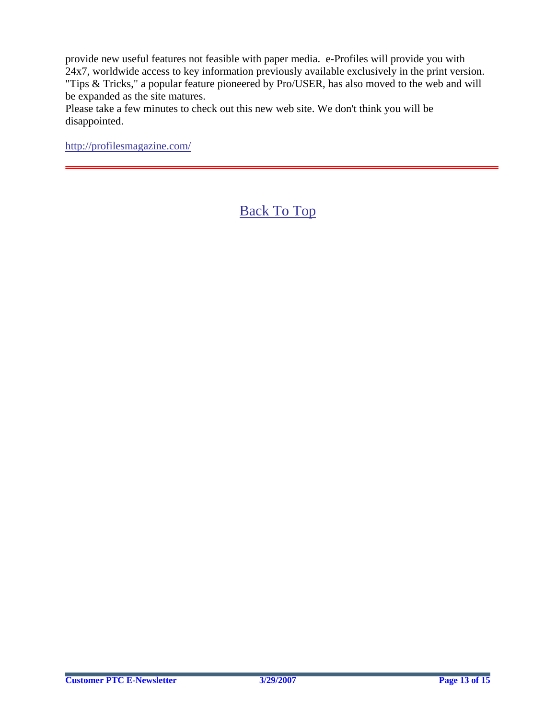provide new useful features not feasible with paper media. e-Profiles will provide you with 24x7, worldwide access to key information previously available exclusively in the print version. "Tips & Tricks," a popular feature pioneered by Pro/USER, has also moved to the web and will be expanded as the site matures.

Please take a few minutes to check out this new web site. We don't think you will be disappointed.

<http://profilesmagazine.com/>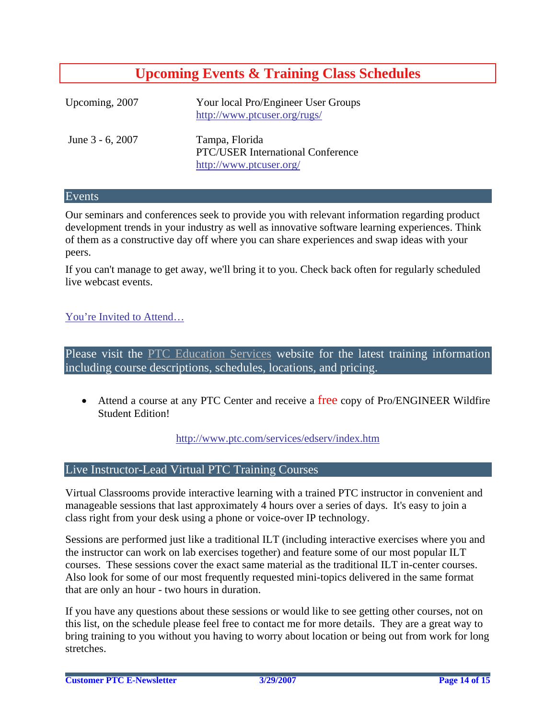## **Upcoming Events & Training Class Schedules**

<span id="page-13-0"></span>

| Upcoming, 2007   | Your local Pro/Engineer User Groups<br>http://www.ptcuser.org/rugs/                   |
|------------------|---------------------------------------------------------------------------------------|
| June 3 - 6, 2007 | Tampa, Florida<br><b>PTC/USER International Conference</b><br>http://www.ptcuser.org/ |

#### Events

Our seminars and conferences seek to provide you with relevant information regarding product development trends in your industry as well as innovative software learning experiences. Think of them as a constructive day off where you can share experiences and swap ideas with your peers.

If you can't manage to get away, we'll bring it to you. Check back often for regularly scheduled live webcast events.

## [You're Invited to Attend…](http://www.ptc.com/company/news/events/index.htm)

Please visit the [PTC Education Services](http://www.ptc.com/services/edserv/) website for the latest training information including course descriptions, schedules, locations, and pricing.

• Attend a course at any PTC Center and receive a free copy of Pro/ENGINEER Wildfire Student Edition!

<http://www.ptc.com/services/edserv/index.htm>

### Live Instructor-Lead Virtual PTC Training Courses

Virtual Classrooms provide interactive learning with a trained PTC instructor in convenient and manageable sessions that last approximately 4 hours over a series of days. It's easy to join a class right from your desk using a phone or voice-over IP technology.

Sessions are performed just like a traditional ILT (including interactive exercises where you and the instructor can work on lab exercises together) and feature some of our most popular ILT courses. These sessions cover the exact same material as the traditional ILT in-center courses. Also look for some of our most frequently requested mini-topics delivered in the same format that are only an hour - two hours in duration.

If you have any questions about these sessions or would like to see getting other courses, not on this list, on the schedule please feel free to contact me for more details. They are a great way to bring training to you without you having to worry about location or being out from work for long stretches.